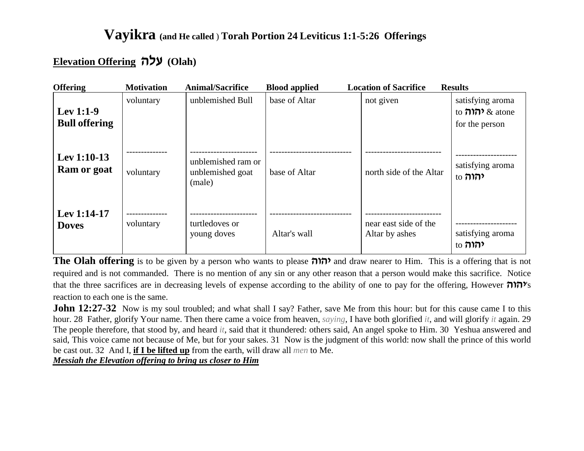#### **Elevation Offering dlr (Olah)**

| <b>Offering</b>                   | <b>Motivation</b> | <b>Animal/Sacrifice</b>                          | <b>Blood applied</b> | <b>Location of Sacrifice</b>            | <b>Results</b>                                                      |
|-----------------------------------|-------------------|--------------------------------------------------|----------------------|-----------------------------------------|---------------------------------------------------------------------|
| Lev 1:1-9<br><b>Bull offering</b> | voluntary         | unblemished Bull                                 | base of Altar        | not given                               | satisfying aroma<br>to $\pi$ $\pi$ $\alpha$ atone<br>for the person |
| Lev $1:10-13$<br>Ram or goat      | voluntary         | unblemished ram or<br>unblemished goat<br>(male) | base of Altar        | north side of the Altar                 | satisfying aroma<br>to ל <b>הוה</b>                                 |
| Lev $1:14-17$<br><b>Doves</b>     | voluntary         | turtledoves or<br>young doves                    | Altar's wall         | near east side of the<br>Altar by ashes | satisfying aroma<br>to ל <b>הוה</b>                                 |

**The Olah offering** is to be given by a person who wants to please *ה*וה? and draw nearer to Him. This is a offering that is not required and is not commanded. There is no mention of any sin or any other reason that a person would make this sacrifice. Notice that the three sacrifices are in decreasing levels of expense according to the ability of one to pay for the offering, However **הוה** reaction to each one is the same.

**John 12:27-32** Now is my soul troubled; and what shall I say? Father, save Me from this hour: but for this cause came I to this hour. 28 Father, glorify Your name. Then there came a voice from heaven, *saying*, I have both glorified *it*, and will glorify *it* again. 29 The people therefore, that stood by, and heard *it*, said that it thundered: others said, An angel spoke to Him. 30 Yeshua answered and said, This voice came not because of Me, but for your sakes. 31 Now is the judgment of this world: now shall the prince of this world be cast out. 32 And I, **if I be lifted up** from the earth, will draw all *men* to Me.

*Messiah the Elevation offering to bring us closer to Him*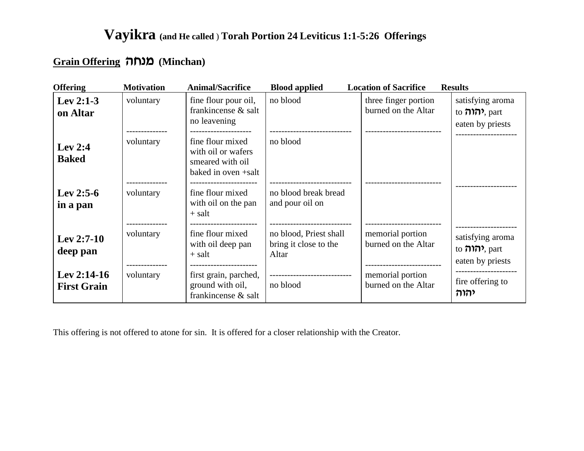#### **Add** (Minchan) מנחה

| <b>Offering</b>                     | <b>Motivation</b> | <b>Animal/Sacrifice</b>                                                           | <b>Blood applied</b>                                             | <b>Location of Sacrifice</b>                | <b>Results</b>                                                 |
|-------------------------------------|-------------------|-----------------------------------------------------------------------------------|------------------------------------------------------------------|---------------------------------------------|----------------------------------------------------------------|
| Lev $2:1-3$<br>on Altar             | voluntary         | fine flour pour oil,<br>frankincense & salt<br>no leavening                       | no blood                                                         | three finger portion<br>burned on the Altar | satisfying aroma<br>to הוה, part<br>eaten by priests           |
| Lev $2:4$<br><b>Baked</b>           | voluntary         | fine flour mixed<br>with oil or wafers<br>smeared with oil<br>baked in oven +salt | no blood                                                         |                                             |                                                                |
| Lev 2:5-6<br>in a pan               | voluntary         | fine flour mixed<br>with oil on the pan<br>$+$ salt                               | no blood break bread<br>and pour oil on<br>--------------------- |                                             |                                                                |
| Lev 2:7-10<br>deep pan              | voluntary         | fine flour mixed<br>with oil deep pan<br>$+$ salt                                 | no blood, Priest shall<br>bring it close to the<br>Altar         | memorial portion<br>burned on the Altar     | satisfying aroma<br>to ו <b>הוה</b> , part<br>eaten by priests |
| Lev $2:14-16$<br><b>First Grain</b> | voluntary         | first grain, parched,<br>ground with oil,<br>frankincense & salt                  | -----------------------------<br>no blood                        | memorial portion<br>burned on the Altar     | fire offering to<br>יהוה                                       |

This offering is not offered to atone for sin. It is offered for a closer relationship with the Creator.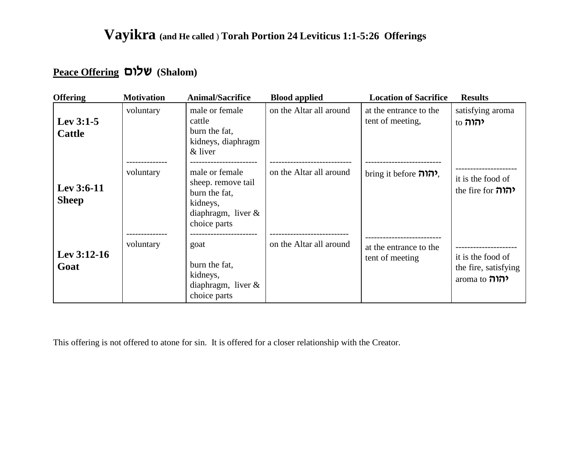## **Peace Offering mely (Shalom)**

| <b>Offering</b>              | <b>Motivation</b> | <b>Animal/Sacrifice</b>                                                                                    | <b>Blood applied</b>    | <b>Location of Sacrifice</b>               | <b>Results</b>                                                   |
|------------------------------|-------------------|------------------------------------------------------------------------------------------------------------|-------------------------|--------------------------------------------|------------------------------------------------------------------|
| Lev $3:1-5$<br><b>Cattle</b> | voluntary         | male or female<br>cattle<br>burn the fat,<br>kidneys, diaphragm<br>& liver                                 | on the Altar all around | at the entrance to the<br>tent of meeting, | satisfying aroma<br>to <b>להוה</b>                               |
| Lev $3:6-11$<br><b>Sheep</b> | voluntary         | male or female<br>sheep. remove tail<br>burn the fat,<br>kidneys,<br>diaphragm, liver $\&$<br>choice parts | on the Altar all around | hring it before הרה,                       | it is the food of<br>the fire for <b>חוה</b>                     |
| Lev 3:12-16<br>Goat          | voluntary         | goat<br>burn the fat,<br>kidneys,<br>diaphragm, liver $\&$<br>choice parts                                 | on the Altar all around | at the entrance to the<br>tent of meeting  | it is the food of<br>the fire, satisfying<br>aroma to <b>הוה</b> |

This offering is not offered to atone for sin. It is offered for a closer relationship with the Creator.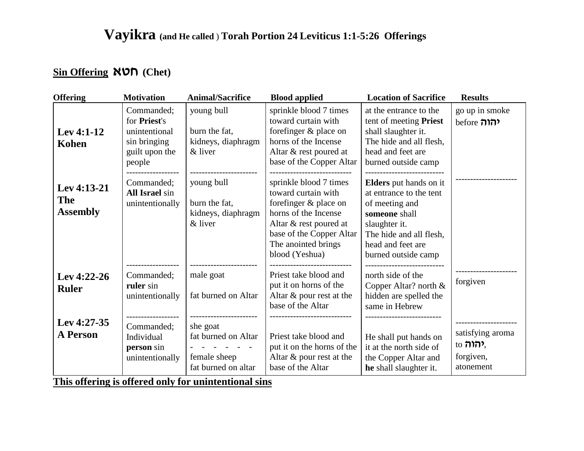### **Sin Offering**  $NOP$  **(Chet)**

| <b>Offering</b>                              | <b>Motivation</b>                                                                       | <b>Animal/Sacrifice</b>                                                | <b>Blood applied</b>                                                                                                                                                                          | <b>Location of Sacrifice</b>                                                                                                                                                        | <b>Results</b>                                              |
|----------------------------------------------|-----------------------------------------------------------------------------------------|------------------------------------------------------------------------|-----------------------------------------------------------------------------------------------------------------------------------------------------------------------------------------------|-------------------------------------------------------------------------------------------------------------------------------------------------------------------------------------|-------------------------------------------------------------|
| Lev $4:1-12$<br>Kohen                        | Commanded:<br>for Priest's<br>unintentional<br>sin bringing<br>guilt upon the<br>people | young bull<br>burn the fat.<br>kidneys, diaphragm<br>& liver           | sprinkle blood 7 times<br>toward curtain with<br>forefinger & place on<br>horns of the Incense<br>Altar & rest poured at<br>base of the Copper Altar                                          | at the entrance to the<br>tent of meeting Priest<br>shall slaughter it.<br>The hide and all flesh,<br>head and feet are<br>burned outside camp                                      | go up in smoke<br><b>before חוה</b>                         |
| Lev 4:13-21<br><b>The</b><br><b>Assembly</b> | Commanded;<br>All Israel sin<br>unintentionally                                         | young bull<br>burn the fat,<br>kidneys, diaphragm<br>& liver           | sprinkle blood 7 times<br>toward curtain with<br>forefinger & place on<br>horns of the Incense<br>Altar & rest poured at<br>base of the Copper Altar<br>The anointed brings<br>blood (Yeshua) | <b>Elders</b> put hands on it<br>at entrance to the tent<br>of meeting and<br>someone shall<br>slaughter it.<br>The hide and all flesh,<br>head and feet are<br>burned outside camp |                                                             |
| Lev 4:22-26<br><b>Ruler</b>                  | Commanded;<br>ruler sin<br>unintentionally                                              | male goat<br>fat burned on Altar                                       | Priest take blood and<br>put it on horns of the<br>Altar & pour rest at the<br>base of the Altar                                                                                              | north side of the<br>Copper Altar? north $&$<br>hidden are spelled the<br>same in Hebrew                                                                                            | forgiven                                                    |
| Lev 4:27-35<br><b>A Person</b>               | Commanded;<br>Individual<br>person sin<br>unintentionally                               | she goat<br>fat burned on Altar<br>female sheep<br>fat burned on altar | Priest take blood and<br>put it on the horns of the<br>Altar $\&$ pour rest at the<br>base of the Altar                                                                                       | He shall put hands on<br>it at the north side of<br>the Copper Altar and<br>he shall slaughter it.                                                                                  | satisfying aroma<br>to <b>הוה</b><br>forgiven,<br>atonement |

**This offering is offered only for unintentional sins**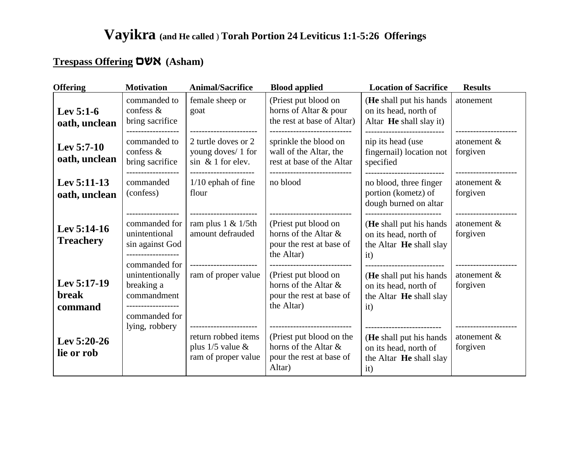### **Trespass Offering DWN** (Asham)

| <b>Offering</b>                   | <b>Motivation</b>                                                                                     | <b>Animal/Sacrifice</b>                                             | <b>Blood applied</b>                                                                           | <b>Location of Sacrifice</b>                                                            | <b>Results</b>                                  |
|-----------------------------------|-------------------------------------------------------------------------------------------------------|---------------------------------------------------------------------|------------------------------------------------------------------------------------------------|-----------------------------------------------------------------------------------------|-------------------------------------------------|
| Lev $5:1-6$<br>oath, unclean      | commanded to<br>confess $\&$<br>bring sacrifice                                                       | female sheep or<br>goat                                             | (Priest put blood on<br>horns of Altar & pour<br>the rest at base of Altar)                    | (He shall put his hands)<br>on its head, north of<br>Altar He shall slay it)            | atonement                                       |
| Lev $5:7-10$<br>oath, unclean     | commanded to<br>confess $\&$<br>bring sacrifice                                                       | 2 turtle doves or 2<br>young doves/ 1 for<br>$sin \& 1$ for elev.   | sprinkle the blood on<br>wall of the Altar, the<br>rest at base of the Altar<br>-------------- | nip its head (use<br>fingernail) location not<br>specified<br>------------------------- | atonement &<br>forgiven<br>-------------------- |
| Lev 5:11-13<br>oath, unclean      | commanded<br>(confess)                                                                                | $1/10$ ephah of fine<br>flour                                       | no blood                                                                                       | no blood, three finger<br>portion (kometz) of<br>dough burned on altar                  | atonement $&$<br>forgiven<br>---------------    |
| Lev $5:14-16$<br><b>Treachery</b> | commanded for<br>unintentional<br>sin against God<br>commanded for                                    | ram plus $1 < 1/5$ th<br>amount defrauded                           | (Priest put blood on<br>horns of the Altar &<br>pour the rest at base of<br>the Altar)         | (He shall put his hands<br>on its head, north of<br>the Altar He shall slay<br>it)      | atonement &<br>forgiven                         |
| Lev 5:17-19<br>break<br>command   | unintentionally<br>breaking a<br>commandment<br>------------------<br>commanded for<br>lying, robbery | ram of proper value<br>------------------------                     | (Priest put blood on<br>horns of the Altar &<br>pour the rest at base of<br>the Altar)         | (He shall put his hands)<br>on its head, north of<br>the Altar He shall slay<br>it)     | atonement &<br>forgiven                         |
| Lev 5:20-26<br>lie or rob         |                                                                                                       | return robbed items<br>plus $1/5$ value $\&$<br>ram of proper value | (Priest put blood on the<br>horns of the Altar &<br>pour the rest at base of<br>Altar)         | (He shall put his hands)<br>on its head, north of<br>the Altar He shall slay<br>it)     | atonement &<br>forgiven                         |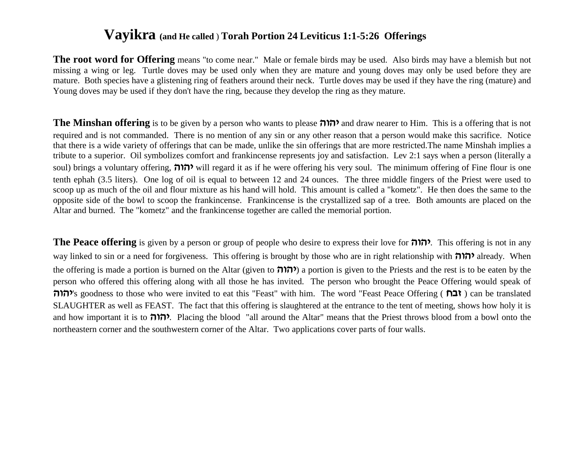**The root word for Offering** means "to come near." Male or female birds may be used. Also birds may have a blemish but not missing a wing or leg. Turtle doves may be used only when they are mature and young doves may only be used before they are mature. Both species have a glistening ring of feathers around their neck. Turtle doves may be used if they have the ring (mature) and Young doves may be used if they don't have the ring, because they develop the ring as they mature.

**The Minshan offering** is to be given by a person who wants to please **dedi** and draw nearer to Him. This is a offering that is not required and is not commanded. There is no mention of any sin or any other reason that a person would make this sacrifice. Notice that there is a wide variety of offerings that can be made, unlike the sin offerings that are more restricted.The name Minshah implies a tribute to a superior. Oil symbolizes comfort and frankincense represents joy and satisfaction. Lev 2:1 says when a person (literally a soul) brings a voluntary offering, **dedi** will regard it as if he were offering his very soul. The minimum offering of Fine flour is one tenth ephah (3.5 liters). One log of oil is equal to between 12 and 24 ounces. The three middle fingers of the Priest were used to scoop up as much of the oil and flour mixture as his hand will hold. This amount is called a "kometz". He then does the same to the opposite side of the bowl to scoop the frankincense. Frankincense is the crystallized sap of a tree. Both amounts are placed on the Altar and burned. The "kometz" and the frankincense together are called the memorial portion.

**The Peace offering** is given by a person or group of people who desire to express their love for **יהוה**. This offering is not in any way linked to sin or a need for forgiveness. This offering is brought by those who are in right relationship with **והוה** already. When the offering is made a portion is burned on the Altar (given to **חורה**) a portion is given to the Priests and the rest is to be eaten by the person who offered this offering along with all those he has invited. The person who brought the Peace Offering would speak of **''**s goodness to those who were invited to eat this "Feast" with him. The word "Feast Peace Offering (**הוה**) can be translated SLAUGHTER as well as FEAST. The fact that this offering is slaughtered at the entrance to the tent of meeting, shows how holy it is and how important it is to **להוה**. Placing the blood "all around the Altar" means that the Priest throws blood from a bowl onto the northeastern corner and the southwestern corner of the Altar. Two applications cover parts of four walls.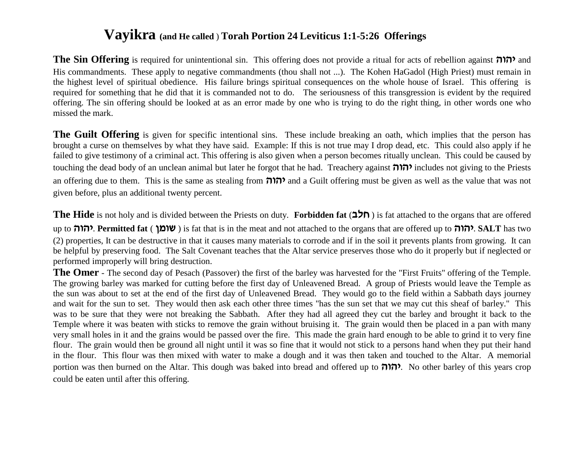**The Sin Offering** is required for unintentional sin. This offering does not provide a ritual for acts of rebellion against  $\eta$  and His commandments. These apply to negative commandments (thou shall not ...). The Kohen HaGadol (High Priest) must remain in the highest level of spiritual obedience. His failure brings spiritual consequences on the whole house of Israel. This offering is required for something that he did that it is commanded not to do. The seriousness of this transgression is evident by the required offering. The sin offering should be looked at as an error made by one who is trying to do the right thing, in other words one who missed the mark.

**The Guilt Offering** is given for specific intentional sins. These include breaking an oath, which implies that the person has brought a curse on themselves by what they have said. Example: If this is not true may I drop dead, etc. This could also apply if he failed to give testimony of a criminal act. This offering is also given when a person becomes ritually unclean. This could be caused by touching the dead body of an unclean animal but later he forgot that he had. Treachery against **dedi** includes not giving to the Priests an offering due to them. This is the same as stealing from  $\eta$  and a Guilt offering must be given as well as the value that was not given before, plus an additional twenty percent.

**The Hide** is not holy and is divided between the Priests on duty. **Forbidden fat** (**alg** ) is fat attached to the organs that are offered up to **להוה**. **Permitted fat** ( **שומן**) is fat that is in the meat and not attached to the organs that are offered up to יהוה. SALT has two (2) properties, It can be destructive in that it causes many materials to corrode and if in the soil it prevents plants from growing. It can be helpful by preserving food. The Salt Covenant teaches that the Altar service preserves those who do it properly but if neglected or performed improperly will bring destruction.

**The Omer** - The second day of Pesach (Passover) the first of the barley was harvested for the "First Fruits" offering of the Temple. The growing barley was marked for cutting before the first day of Unleavened Bread. A group of Priests would leave the Temple as the sun was about to set at the end of the first day of Unleavened Bread. They would go to the field within a Sabbath days journey and wait for the sun to set. They would then ask each other three times "has the sun set that we may cut this sheaf of barley." This was to be sure that they were not breaking the Sabbath. After they had all agreed they cut the barley and brought it back to the Temple where it was beaten with sticks to remove the grain without bruising it. The grain would then be placed in a pan with many very small holes in it and the grains would be passed over the fire. This made the grain hard enough to be able to grind it to very fine flour. The grain would then be ground all night until it was so fine that it would not stick to a persons hand when they put their hand in the flour. This flour was then mixed with water to make a dough and it was then taken and touched to the Altar. A memorial **portion** was then burned on the Altar. This dough was baked into bread and offered up to **DID**. No other barley of this years crop could be eaten until after this offering.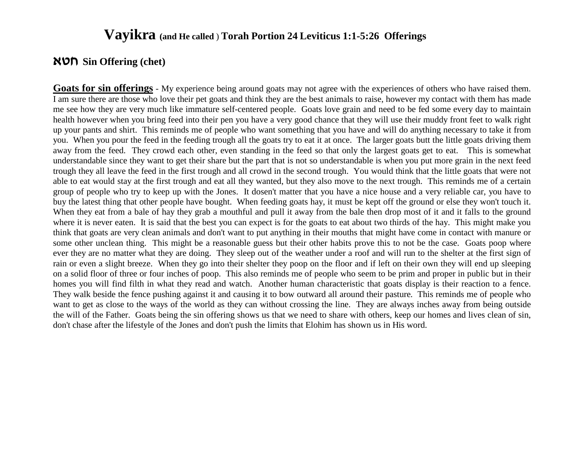#### **`hg Sin Offering (chet)**

**Goats for sin offerings** - My experience being around goats may not agree with the experiences of others who have raised them. I am sure there are those who love their pet goats and think they are the best animals to raise, however my contact with them has made me see how they are very much like immature self-centered people. Goats love grain and need to be fed some every day to maintain health however when you bring feed into their pen you have a very good chance that they will use their muddy front feet to walk right up your pants and shirt. This reminds me of people who want something that you have and will do anything necessary to take it from you. When you pour the feed in the feeding trough all the goats try to eat it at once. The larger goats butt the little goats driving them away from the feed. They crowd each other, even standing in the feed so that only the largest goats get to eat. This is somewhat understandable since they want to get their share but the part that is not so understandable is when you put more grain in the next feed trough they all leave the feed in the first trough and all crowd in the second trough. You would think that the little goats that were not able to eat would stay at the first trough and eat all they wanted, but they also move to the next trough. This reminds me of a certain group of people who try to keep up with the Jones. It dosen't matter that you have a nice house and a very reliable car, you have to buy the latest thing that other people have bought. When feeding goats hay, it must be kept off the ground or else they won't touch it. When they eat from a bale of hay they grab a mouthful and pull it away from the bale then drop most of it and it falls to the ground where it is never eaten. It is said that the best you can expect is for the goats to eat about two thirds of the hay. This might make you think that goats are very clean animals and don't want to put anything in their mouths that might have come in contact with manure or some other unclean thing. This might be a reasonable guess but their other habits prove this to not be the case. Goats poop where ever they are no matter what they are doing. They sleep out of the weather under a roof and will run to the shelter at the first sign of rain or even a slight breeze. When they go into their shelter they poop on the floor and if left on their own they will end up sleeping on a solid floor of three or four inches of poop. This also reminds me of people who seem to be prim and proper in public but in their homes you will find filth in what they read and watch. Another human characteristic that goats display is their reaction to a fence. They walk beside the fence pushing against it and causing it to bow outward all around their pasture. This reminds me of people who want to get as close to the ways of the world as they can without crossing the line. They are always inches away from being outside the will of the Father. Goats being the sin offering shows us that we need to share with others, keep our homes and lives clean of sin, don't chase after the lifestyle of the Jones and don't push the limits that Elohim has shown us in His word.